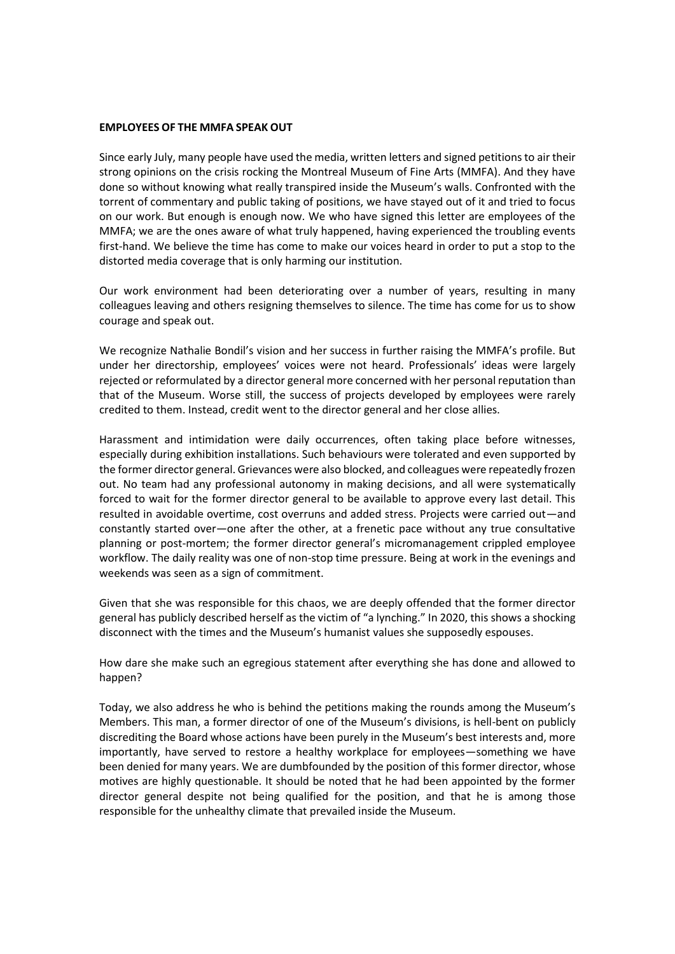## **EMPLOYEES OF THE MMFA SPEAK OUT**

Since early July, many people have used the media, written letters and signed petitions to air their strong opinions on the crisis rocking the Montreal Museum of Fine Arts (MMFA). And they have done so without knowing what really transpired inside the Museum's walls. Confronted with the torrent of commentary and public taking of positions, we have stayed out of it and tried to focus on our work. But enough is enough now. We who have signed this letter are employees of the MMFA; we are the ones aware of what truly happened, having experienced the troubling events first-hand. We believe the time has come to make our voices heard in order to put a stop to the distorted media coverage that is only harming our institution.

Our work environment had been deteriorating over a number of years, resulting in many colleagues leaving and others resigning themselves to silence. The time has come for us to show courage and speak out.

We recognize Nathalie Bondil's vision and her success in further raising the MMFA's profile. But under her directorship, employees' voices were not heard. Professionals' ideas were largely rejected or reformulated by a director general more concerned with her personal reputation than that of the Museum. Worse still, the success of projects developed by employees were rarely credited to them. Instead, credit went to the director general and her close allies.

Harassment and intimidation were daily occurrences, often taking place before witnesses, especially during exhibition installations. Such behaviours were tolerated and even supported by the former director general. Grievances were also blocked, and colleagues were repeatedly frozen out. No team had any professional autonomy in making decisions, and all were systematically forced to wait for the former director general to be available to approve every last detail. This resulted in avoidable overtime, cost overruns and added stress. Projects were carried out—and constantly started over—one after the other, at a frenetic pace without any true consultative planning or post-mortem; the former director general's micromanagement crippled employee workflow. The daily reality was one of non-stop time pressure. Being at work in the evenings and weekends was seen as a sign of commitment.

Given that she was responsible for this chaos, we are deeply offended that the former director general has publicly described herself as the victim of "a lynching." In 2020, this shows a shocking disconnect with the times and the Museum's humanist values she supposedly espouses.

How dare she make such an egregious statement after everything she has done and allowed to happen?

Today, we also address he who is behind the petitions making the rounds among the Museum's Members. This man, a former director of one of the Museum's divisions, is hell-bent on publicly discrediting the Board whose actions have been purely in the Museum's best interests and, more importantly, have served to restore a healthy workplace for employees—something we have been denied for many years. We are dumbfounded by the position of this former director, whose motives are highly questionable. It should be noted that he had been appointed by the former director general despite not being qualified for the position, and that he is among those responsible for the unhealthy climate that prevailed inside the Museum.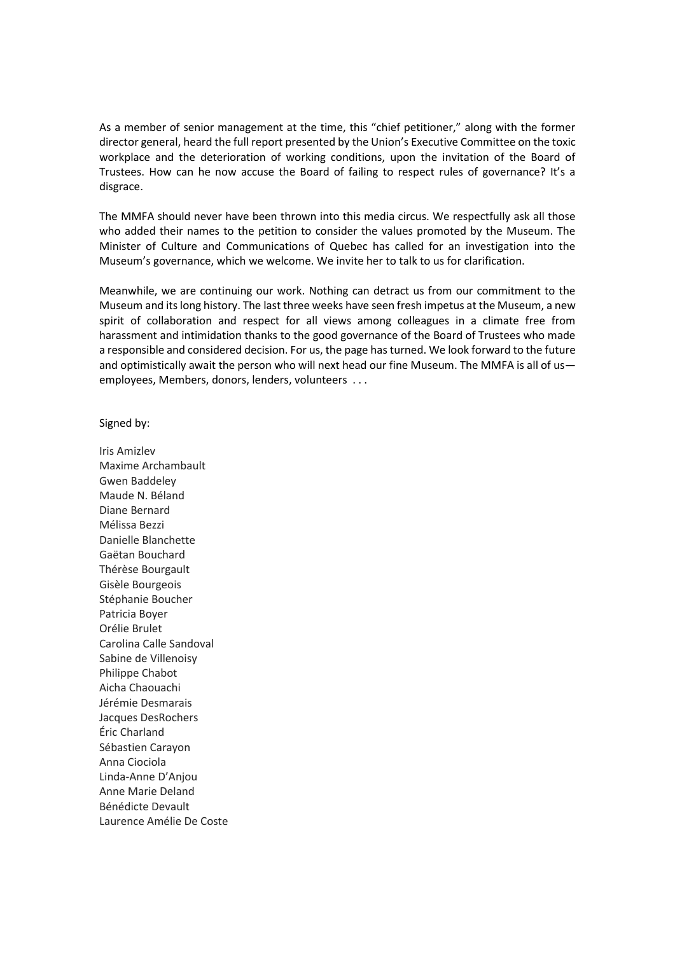As a member of senior management at the time, this "chief petitioner," along with the former director general, heard the full report presented by the Union's Executive Committee on the toxic workplace and the deterioration of working conditions, upon the invitation of the Board of Trustees. How can he now accuse the Board of failing to respect rules of governance? It's a disgrace.

The MMFA should never have been thrown into this media circus. We respectfully ask all those who added their names to the petition to consider the values promoted by the Museum. The Minister of Culture and Communications of Quebec has called for an investigation into the Museum's governance, which we welcome. We invite her to talk to us for clarification.

Meanwhile, we are continuing our work. Nothing can detract us from our commitment to the Museum and its long history. The last three weeks have seen fresh impetus at the Museum, a new spirit of collaboration and respect for all views among colleagues in a climate free from harassment and intimidation thanks to the good governance of the Board of Trustees who made a responsible and considered decision. For us, the page has turned. We look forward to the future and optimistically await the person who will next head our fine Museum. The MMFA is all of usemployees, Members, donors, lenders, volunteers . . .

Signed by:

Iris Amizlev Maxime Archambault Gwen Baddeley Maude N. Béland Diane Bernard Mélissa Bezzi Danielle Blanchette Gaëtan Bouchard Thérèse Bourgault Gisèle Bourgeois Stéphanie Boucher Patricia Boyer Orélie Brulet Carolina Calle Sandoval Sabine de Villenoisy Philippe Chabot Aicha Chaouachi Jérémie Desmarais Jacques DesRochers Éric Charland Sébastien Carayon Anna Ciociola Linda-Anne D'Anjou Anne Marie Deland Bénédicte Devault Laurence Amélie De Coste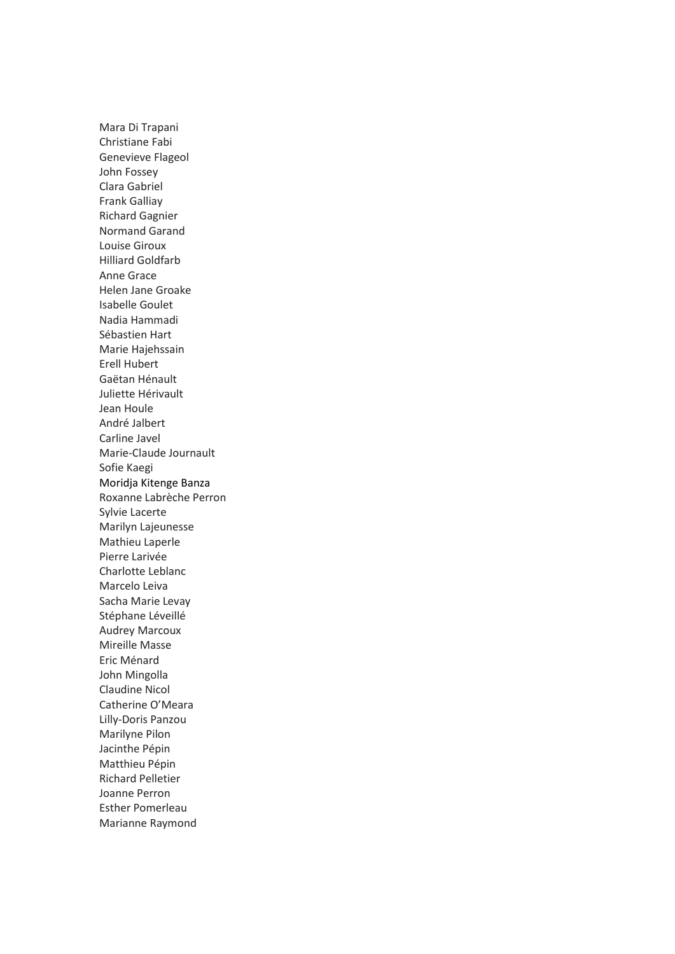Mara Di Trapani Christiane Fabi Genevieve Flageol John Fossey Clara Gabriel Frank Galliay Richard Gagnier Normand Garand Louise Giroux Hilliard Goldfarb Anne Grace Helen Jane Groake Isabelle Goulet Nadia Hammadi Sébastien Hart Marie Hajehssain Erell Hubert Gaëtan Hénault Juliette Hérivault Jean Houle André Jalbert Carline Javel Marie-Claude Journault Sofie Kaegi Moridja Kitenge Banza Roxanne Labrèche Perron Sylvie Lacerte Marilyn Lajeunesse Mathieu Laperle Pierre Larivée Charlotte Leblanc Marcelo Leiva Sacha Marie Levay Stéphane Léveillé Audrey Marcoux Mireille Masse Eric Ménard John Mingolla Claudine Nicol Catherine O'Meara Lilly-Doris Panzou Marilyne Pilon Jacinthe Pépin Matthieu Pépin Richard Pelletier Joanne Perron Esther Pomerleau Marianne Raymond